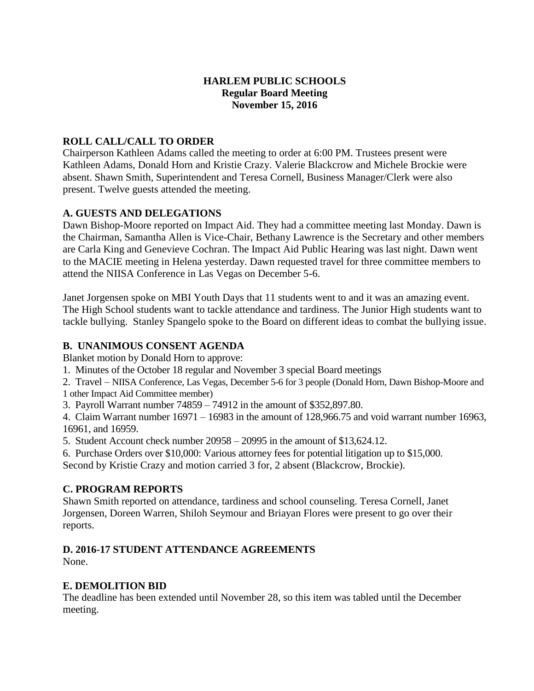## **HARLEM PUBLIC SCHOOLS Regular Board Meeting November 15, 2016**

## **ROLL CALL/CALL TO ORDER**

Chairperson Kathleen Adams called the meeting to order at 6:00 PM. Trustees present were Kathleen Adams, Donald Horn and Kristie Crazy. Valerie Blackcrow and Michele Brockie were absent. Shawn Smith, Superintendent and Teresa Cornell, Business Manager/Clerk were also present. Twelve guests attended the meeting.

## **A. GUESTS AND DELEGATIONS**

Dawn Bishop-Moore reported on Impact Aid. They had a committee meeting last Monday. Dawn is the Chairman, Samantha Allen is Vice-Chair, Bethany Lawrence is the Secretary and other members are Carla King and Genevieve Cochran. The Impact Aid Public Hearing was last night. Dawn went to the MACIE meeting in Helena yesterday. Dawn requested travel for three committee members to attend the NIISA Conference in Las Vegas on December 5-6.

Janet Jorgensen spoke on MBI Youth Days that 11 students went to and it was an amazing event. The High School students want to tackle attendance and tardiness. The Junior High students want to tackle bullying. Stanley Spangelo spoke to the Board on different ideas to combat the bullying issue.

## **B. UNANIMOUS CONSENT AGENDA**

Blanket motion by Donald Horn to approve:

1. Minutes of the October 18 regular and November 3 special Board meetings

2. Travel – NIISA Conference, Las Vegas, December 5-6 for 3 people (Donald Horn, Dawn Bishop-Moore and 1 other Impact Aid Committee member)

3. Payroll Warrant number 74859 – 74912 in the amount of \$352,897.80.

4. Claim Warrant number 16971 – 16983 in the amount of 128,966.75 and void warrant number 16963, 16961, and 16959.

5. Student Account check number 20958 – 20995 in the amount of \$13,624.12.

6. Purchase Orders over \$10,000: Various attorney fees for potential litigation up to \$15,000.

Second by Kristie Crazy and motion carried 3 for, 2 absent (Blackcrow, Brockie).

## **C. PROGRAM REPORTS**

Shawn Smith reported on attendance, tardiness and school counseling. Teresa Cornell, Janet Jorgensen, Doreen Warren, Shiloh Seymour and Briayan Flores were present to go over their reports.

# **D. 2016-17 STUDENT ATTENDANCE AGREEMENTS**

None.

## **E. DEMOLITION BID**

The deadline has been extended until November 28, so this item was tabled until the December meeting.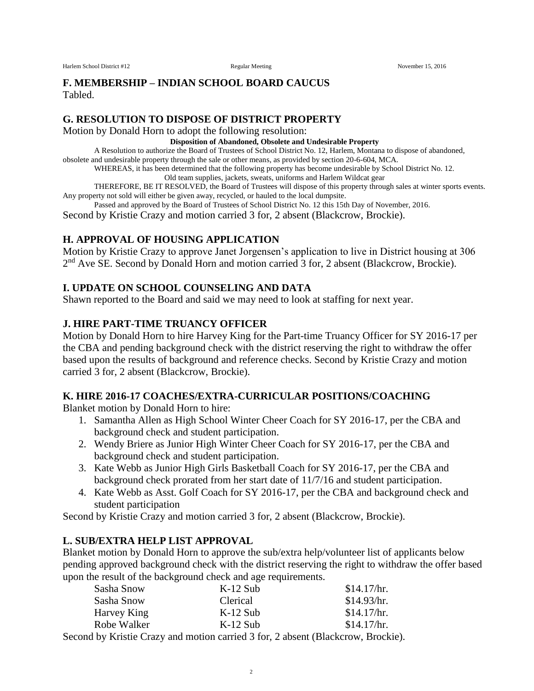#### **F. MEMBERSHIP – INDIAN SCHOOL BOARD CAUCUS** Tabled.

#### **G. RESOLUTION TO DISPOSE OF DISTRICT PROPERTY**

Motion by Donald Horn to adopt the following resolution:

#### **Disposition of Abandoned, Obsolete and Undesirable Property**

A Resolution to authorize the Board of Trustees of School District No. 12, Harlem, Montana to dispose of abandoned,

obsolete and undesirable property through the sale or other means, as provided by section 20-6-604, MCA.

WHEREAS, it has been determined that the following property has become undesirable by School District No. 12.

Old team supplies, jackets, sweats, uniforms and Harlem Wildcat gear

THEREFORE, BE IT RESOLVED, the Board of Trustees will dispose of this property through sales at winter sports events. Any property not sold will either be given away, recycled, or hauled to the local dumpsite.

Passed and approved by the Board of Trustees of School District No. 12 this 15th Day of November, 2016.

Second by Kristie Crazy and motion carried 3 for, 2 absent (Blackcrow, Brockie).

## **H. APPROVAL OF HOUSING APPLICATION**

Motion by Kristie Crazy to approve Janet Jorgensen's application to live in District housing at 306 2<sup>nd</sup> Ave SE. Second by Donald Horn and motion carried 3 for, 2 absent (Blackcrow, Brockie).

## **I. UPDATE ON SCHOOL COUNSELING AND DATA**

Shawn reported to the Board and said we may need to look at staffing for next year.

## **J. HIRE PART-TIME TRUANCY OFFICER**

Motion by Donald Horn to hire Harvey King for the Part-time Truancy Officer for SY 2016-17 per the CBA and pending background check with the district reserving the right to withdraw the offer based upon the results of background and reference checks. Second by Kristie Crazy and motion carried 3 for, 2 absent (Blackcrow, Brockie).

### **K. HIRE 2016-17 COACHES/EXTRA-CURRICULAR POSITIONS/COACHING**

Blanket motion by Donald Horn to hire:

- 1. Samantha Allen as High School Winter Cheer Coach for SY 2016-17, per the CBA and background check and student participation.
- 2. Wendy Briere as Junior High Winter Cheer Coach for SY 2016-17, per the CBA and background check and student participation.
- 3. Kate Webb as Junior High Girls Basketball Coach for SY 2016-17, per the CBA and background check prorated from her start date of 11/7/16 and student participation.
- 4. Kate Webb as Asst. Golf Coach for SY 2016-17, per the CBA and background check and student participation

Second by Kristie Crazy and motion carried 3 for, 2 absent (Blackcrow, Brockie).

### **L. SUB/EXTRA HELP LIST APPROVAL**

Blanket motion by Donald Horn to approve the sub/extra help/volunteer list of applicants below pending approved background check with the district reserving the right to withdraw the offer based upon the result of the background check and age requirements.

| Sasha Snow  | $K-12$ Sub                                               |  | \$14.17/hr. |
|-------------|----------------------------------------------------------|--|-------------|
| Sasha Snow  | Clerical                                                 |  | \$14.93/hr. |
| Harvey King | $K-12$ Sub                                               |  | \$14.17/hr. |
| Robe Walker | $K-12$ Sub                                               |  | \$14.17/hr. |
| 11 TT ' ' O | $\mathbf{100}$ $\mathbf{01}$ $\mathbf{101}$ $\mathbf{1}$ |  |             |

Second by Kristie Crazy and motion carried 3 for, 2 absent (Blackcrow, Brockie).